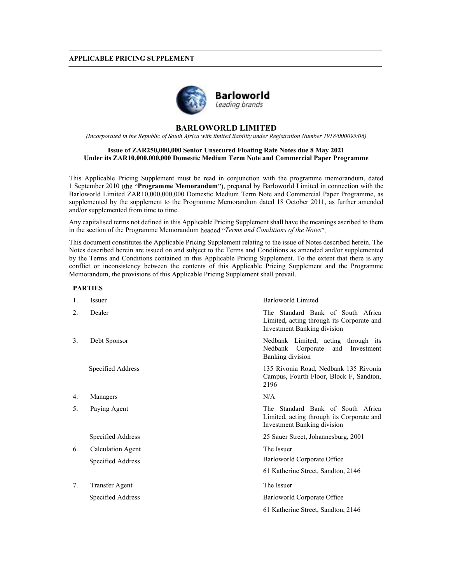### APPLICABLE PRICING SUPPLEMENT



# BARLOWORLD LIMITED

(Incorporated in the Republic of South Africa with limited liability under Registration Number 1918/000095/06)

## Issue of ZAR250,000,000 Senior Unsecured Floating Rate Notes due 8 May 2021 Under its ZAR10,000,000,000 Domestic Medium Term Note and Commercial Paper Programme

This Applicable Pricing Supplement must be read in conjunction with the programme memorandum, dated 1 September 2010 (the "Programme Memorandum"), prepared by Barloworld Limited in connection with the Barloworld Limited ZAR10,000,000,000 Domestic Medium Term Note and Commercial Paper Programme, as supplemented by the supplement to the Programme Memorandum dated 18 October 2011, as further amended and/or supplemented from time to time.

Any capitalised terms not defined in this Applicable Pricing Supplement shall have the meanings ascribed to them in the section of the Programme Memorandum headed "Terms and Conditions of the Notes".

This document constitutes the Applicable Pricing Supplement relating to the issue of Notes described herein. The Notes described herein are issued on and subject to the Terms and Conditions as amended and/or supplemented by the Terms and Conditions contained in this Applicable Pricing Supplement. To the extent that there is any conflict or inconsistency between the contents of this Applicable Pricing Supplement and the Programme Memorandum, the provisions of this Applicable Pricing Supplement shall prevail.

## PARTIES

| 1. | <i>Issuer</i>         | <b>Barloworld Limited</b>                                                                                            |
|----|-----------------------|----------------------------------------------------------------------------------------------------------------------|
| 2. | Dealer                | The Standard Bank of South Africa<br>Limited, acting through its Corporate and<br><b>Investment Banking division</b> |
| 3. | Debt Sponsor          | Nedbank Limited, acting through its<br>Nedbank Corporate<br>and<br>Investment<br><b>Banking</b> division             |
|    | Specified Address     | 135 Rivonia Road, Nedbank 135 Rivonia<br>Campus, Fourth Floor, Block F, Sandton,<br>2196                             |
| 4. | Managers              | N/A                                                                                                                  |
| 5. | Paying Agent          | The Standard Bank of South Africa<br>Limited, acting through its Corporate and<br><b>Investment Banking division</b> |
|    | Specified Address     | 25 Sauer Street, Johannesburg, 2001                                                                                  |
| 6. | Calculation Agent     | The Issuer                                                                                                           |
|    | Specified Address     | Barloworld Corporate Office                                                                                          |
|    |                       | 61 Katherine Street, Sandton, 2146                                                                                   |
| 7. | <b>Transfer Agent</b> | The Issuer                                                                                                           |
|    | Specified Address     | Barloworld Corporate Office                                                                                          |
|    |                       | 61 Katherine Street, Sandton, 2146                                                                                   |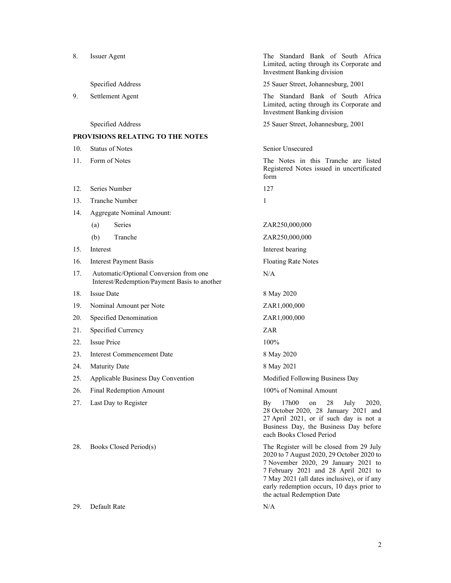| 8.  | <b>Issuer Agent</b>                                                                    | The Standard Bank of South Africa<br>Limited, acting through its Corporate and<br><b>Investment Banking division</b>                                                                                                                                                                           |
|-----|----------------------------------------------------------------------------------------|------------------------------------------------------------------------------------------------------------------------------------------------------------------------------------------------------------------------------------------------------------------------------------------------|
|     | Specified Address                                                                      | 25 Sauer Street, Johannesburg, 2001                                                                                                                                                                                                                                                            |
| 9.  | Settlement Agent                                                                       | The Standard Bank of South Africa<br>Limited, acting through its Corporate and<br>Investment Banking division                                                                                                                                                                                  |
|     | Specified Address                                                                      | 25 Sauer Street, Johannesburg, 2001                                                                                                                                                                                                                                                            |
|     | PROVISIONS RELATING TO THE NOTES                                                       |                                                                                                                                                                                                                                                                                                |
| 10. | <b>Status of Notes</b>                                                                 | Senior Unsecured                                                                                                                                                                                                                                                                               |
| 11. | Form of Notes                                                                          | The Notes in this Tranche are listed<br>Registered Notes issued in uncertificated<br>form                                                                                                                                                                                                      |
| 12. | Series Number                                                                          | 127                                                                                                                                                                                                                                                                                            |
| 13. | <b>Tranche Number</b>                                                                  | 1                                                                                                                                                                                                                                                                                              |
| 14. | Aggregate Nominal Amount:                                                              |                                                                                                                                                                                                                                                                                                |
|     | Series<br>(a)                                                                          | ZAR250,000,000                                                                                                                                                                                                                                                                                 |
|     | Tranche<br>(b)                                                                         | ZAR250,000,000                                                                                                                                                                                                                                                                                 |
| 15. | Interest                                                                               | Interest bearing                                                                                                                                                                                                                                                                               |
| 16. | <b>Interest Payment Basis</b>                                                          | <b>Floating Rate Notes</b>                                                                                                                                                                                                                                                                     |
| 17. | Automatic/Optional Conversion from one<br>Interest/Redemption/Payment Basis to another | N/A                                                                                                                                                                                                                                                                                            |
| 18. | <b>Issue Date</b>                                                                      | 8 May 2020                                                                                                                                                                                                                                                                                     |
| 19. | Nominal Amount per Note                                                                | ZAR1,000,000                                                                                                                                                                                                                                                                                   |
| 20. | Specified Denomination                                                                 | ZAR1,000,000                                                                                                                                                                                                                                                                                   |
| 21. | Specified Currency                                                                     | ZAR                                                                                                                                                                                                                                                                                            |
| 22. | <b>Issue Price</b>                                                                     | 100%                                                                                                                                                                                                                                                                                           |
| 23. | <b>Interest Commencement Date</b>                                                      | 8 May 2020                                                                                                                                                                                                                                                                                     |
| 24. | <b>Maturity Date</b>                                                                   | 8 May 2021                                                                                                                                                                                                                                                                                     |
| 25. | Applicable Business Day Convention                                                     | Modified Following Business Day                                                                                                                                                                                                                                                                |
| 26. | Final Redemption Amount                                                                | 100% of Nominal Amount                                                                                                                                                                                                                                                                         |
| 27. | Last Day to Register                                                                   | 17h00<br>2020,<br>28<br>July<br>By<br>on<br>28 October 2020, 28 January 2021 and<br>27 April 2021, or if such day is not a<br>Business Day, the Business Day before<br>each Books Closed Period                                                                                                |
| 28. | Books Closed Period(s)                                                                 | The Register will be closed from 29 July<br>2020 to 7 August 2020, 29 October 2020 to<br>7 November 2020, 29 January 2021 to<br>7 February 2021 and 28 April 2021 to<br>7 May 2021 (all dates inclusive), or if any<br>early redemption occurs, 10 days prior to<br>the actual Redemption Date |
| 29. | Default Rate                                                                           | N/A                                                                                                                                                                                                                                                                                            |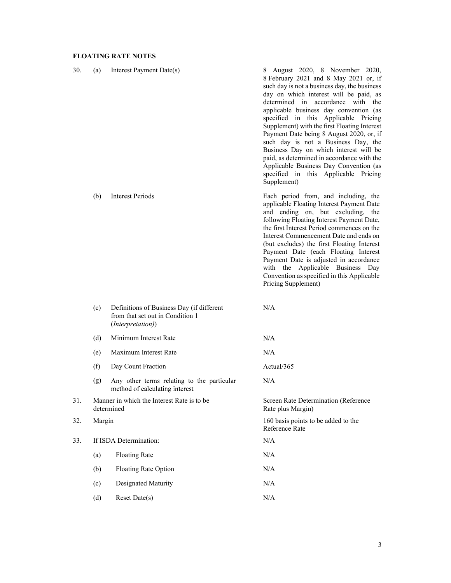# FLOATING RATE NOTES

| 30. | (a)    | Interest Payment Date(s)                                                                           | 8 August 2020, 8 November 2020,<br>8 February 2021 and 8 May 2021 or, if<br>such day is not a business day, the business<br>day on which interest will be paid, as<br>determined in accordance with the<br>applicable business day convention (as<br>specified in this Applicable Pricing<br>Supplement) with the first Floating Interest<br>Payment Date being 8 August 2020, or, if<br>such day is not a Business Day, the<br>Business Day on which interest will be<br>paid, as determined in accordance with the<br>Applicable Business Day Convention (as<br>specified in this Applicable Pricing<br>Supplement) |
|-----|--------|----------------------------------------------------------------------------------------------------|-----------------------------------------------------------------------------------------------------------------------------------------------------------------------------------------------------------------------------------------------------------------------------------------------------------------------------------------------------------------------------------------------------------------------------------------------------------------------------------------------------------------------------------------------------------------------------------------------------------------------|
|     | (b)    | <b>Interest Periods</b>                                                                            | Each period from, and including, the<br>applicable Floating Interest Payment Date<br>and ending on, but excluding, the<br>following Floating Interest Payment Date,<br>the first Interest Period commences on the<br>Interest Commencement Date and ends on<br>(but excludes) the first Floating Interest<br>Payment Date (each Floating Interest<br>Payment Date is adjusted in accordance<br>with the Applicable Business Day<br>Convention as specified in this Applicable<br>Pricing Supplement)                                                                                                                  |
|     | (c)    | Definitions of Business Day (if different<br>from that set out in Condition 1<br>(Interpretation)) | N/A                                                                                                                                                                                                                                                                                                                                                                                                                                                                                                                                                                                                                   |
|     | (d)    | Minimum Interest Rate                                                                              | N/A                                                                                                                                                                                                                                                                                                                                                                                                                                                                                                                                                                                                                   |
|     | (e)    | Maximum Interest Rate                                                                              | N/A                                                                                                                                                                                                                                                                                                                                                                                                                                                                                                                                                                                                                   |
|     | (f)    | Day Count Fraction                                                                                 | Actual/365                                                                                                                                                                                                                                                                                                                                                                                                                                                                                                                                                                                                            |
|     | (g)    | Any other terms relating to the particular<br>method of calculating interest                       | N/A                                                                                                                                                                                                                                                                                                                                                                                                                                                                                                                                                                                                                   |
| 31. |        | Manner in which the Interest Rate is to be<br>determined                                           | Screen Rate Determination (Reference<br>Rate plus Margin)                                                                                                                                                                                                                                                                                                                                                                                                                                                                                                                                                             |
| 32. | Margin |                                                                                                    | 160 basis points to be added to the<br>Reference Rate                                                                                                                                                                                                                                                                                                                                                                                                                                                                                                                                                                 |
| 33. |        | If ISDA Determination:                                                                             | N/A                                                                                                                                                                                                                                                                                                                                                                                                                                                                                                                                                                                                                   |
|     | (a)    | <b>Floating Rate</b>                                                                               | N/A                                                                                                                                                                                                                                                                                                                                                                                                                                                                                                                                                                                                                   |
|     | (b)    | Floating Rate Option                                                                               | $\rm N/A$                                                                                                                                                                                                                                                                                                                                                                                                                                                                                                                                                                                                             |
|     | (c)    | Designated Maturity                                                                                | N/A                                                                                                                                                                                                                                                                                                                                                                                                                                                                                                                                                                                                                   |
|     | (d)    | Reset Date(s)                                                                                      | $\rm N/A$                                                                                                                                                                                                                                                                                                                                                                                                                                                                                                                                                                                                             |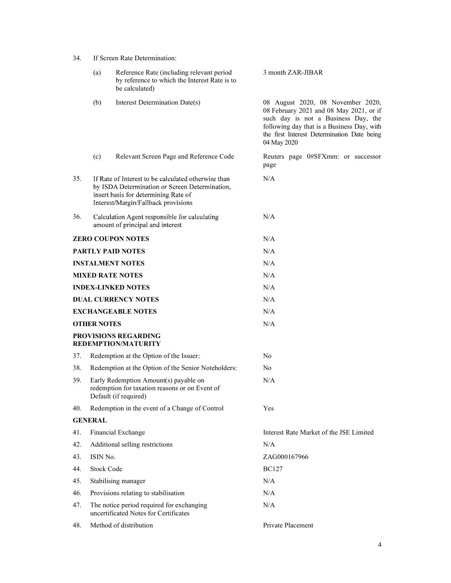| 34. | If Screen Rate Determination: |  |
|-----|-------------------------------|--|
|-----|-------------------------------|--|

|     | (a)                | Reference Rate (including relevant period<br>by reference to which the Interest Rate is to<br>be calculated)                                                                         | 3 month ZAR-JIBAR                                                                                                                                                                                                               |
|-----|--------------------|--------------------------------------------------------------------------------------------------------------------------------------------------------------------------------------|---------------------------------------------------------------------------------------------------------------------------------------------------------------------------------------------------------------------------------|
|     | (b)                | Interest Determination Date(s)                                                                                                                                                       | 08 August 2020, 08 November 2020,<br>08 February 2021 and 08 May 2021, or if<br>such day is not a Business Day, the<br>following day that is a Business Day, with<br>the first Interest Determination Date being<br>04 May 2020 |
|     | (c)                | Relevant Screen Page and Reference Code                                                                                                                                              | Reuters page 0#SFXmm: or successor<br>page                                                                                                                                                                                      |
| 35. |                    | If Rate of Interest to be calculated otherwise than<br>by ISDA Determination or Screen Determination,<br>insert basis for determining Rate of<br>Interest/Margin/Fallback provisions | N/A                                                                                                                                                                                                                             |
| 36. |                    | Calculation Agent responsible for calculating<br>amount of principal and interest                                                                                                    | N/A                                                                                                                                                                                                                             |
|     |                    | <b>ZERO COUPON NOTES</b>                                                                                                                                                             | N/A                                                                                                                                                                                                                             |
|     |                    | <b>PARTLY PAID NOTES</b>                                                                                                                                                             | N/A                                                                                                                                                                                                                             |
|     |                    | <b>INSTALMENT NOTES</b>                                                                                                                                                              | N/A                                                                                                                                                                                                                             |
|     |                    | <b>MIXED RATE NOTES</b>                                                                                                                                                              | N/A                                                                                                                                                                                                                             |
|     |                    | <b>INDEX-LINKED NOTES</b>                                                                                                                                                            | N/A                                                                                                                                                                                                                             |
|     |                    | <b>DUAL CURRENCY NOTES</b>                                                                                                                                                           | N/A                                                                                                                                                                                                                             |
|     |                    | <b>EXCHANGEABLE NOTES</b>                                                                                                                                                            | N/A                                                                                                                                                                                                                             |
|     | <b>OTHER NOTES</b> |                                                                                                                                                                                      | N/A                                                                                                                                                                                                                             |
|     |                    | PROVISIONS REGARDING<br><b>REDEMPTION/MATURITY</b>                                                                                                                                   |                                                                                                                                                                                                                                 |
| 37. |                    | Redemption at the Option of the Issuer:                                                                                                                                              | No                                                                                                                                                                                                                              |
| 38. |                    | Redemption at the Option of the Senior Noteholders:                                                                                                                                  | N <sub>0</sub>                                                                                                                                                                                                                  |
| 39. |                    | Early Redemption Amount(s) payable on<br>redemption for taxation reasons or on Event of<br>Default (if required)                                                                     | N/A                                                                                                                                                                                                                             |
| 40. |                    | Redemption in the event of a Change of Control                                                                                                                                       | Yes                                                                                                                                                                                                                             |
|     | <b>GENERAL</b>     |                                                                                                                                                                                      |                                                                                                                                                                                                                                 |
| 41. |                    | Financial Exchange                                                                                                                                                                   | Interest Rate Market of the JSE Limited                                                                                                                                                                                         |
| 42. |                    | Additional selling restrictions                                                                                                                                                      | N/A                                                                                                                                                                                                                             |
| 43. | ISIN No.           |                                                                                                                                                                                      | ZAG000167966                                                                                                                                                                                                                    |
| 44. | <b>Stock Code</b>  |                                                                                                                                                                                      | <b>BC127</b>                                                                                                                                                                                                                    |
| 45. |                    | Stabilising manager                                                                                                                                                                  | N/A                                                                                                                                                                                                                             |
| 46. |                    | Provisions relating to stabilisation                                                                                                                                                 | N/A                                                                                                                                                                                                                             |
| 47. |                    | The notice period required for exchanging<br>uncertificated Notes for Certificates                                                                                                   | N/A                                                                                                                                                                                                                             |
| 48. |                    | Method of distribution                                                                                                                                                               | Private Placement                                                                                                                                                                                                               |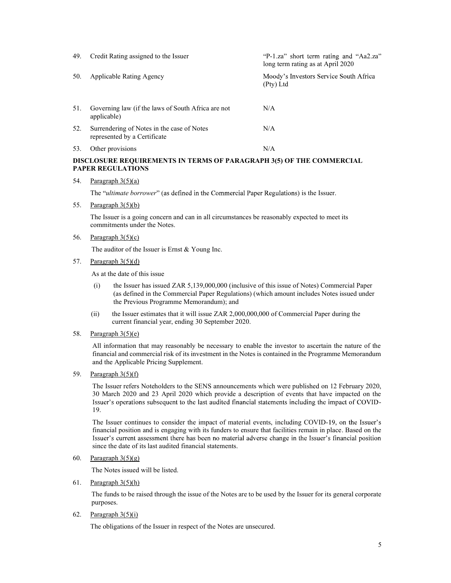| 49. | Credit Rating assigned to the Issuer                                       | "P-1.za" short term rating and "Aa2.za"<br>long term rating as at April 2020 |
|-----|----------------------------------------------------------------------------|------------------------------------------------------------------------------|
| 50. | Applicable Rating Agency                                                   | Moody's Investors Service South Africa<br>(Pty) Ltd                          |
| 51. | Governing law (if the laws of South Africa are not<br>applicable)          | N/A                                                                          |
| 52. | Surrendering of Notes in the case of Notes<br>represented by a Certificate | N/A                                                                          |
| 53. | Other provisions                                                           | N/A                                                                          |

# DISCLOSURE REQUIREMENTS IN TERMS OF PARAGRAPH 3(5) OF THE COMMERCIAL PAPER REGULATIONS

## 54. Paragraph  $3(5)(a)$

The "ultimate borrower" (as defined in the Commercial Paper Regulations) is the Issuer.

55. Paragraph 3(5)(b)

The Issuer is a going concern and can in all circumstances be reasonably expected to meet its commitments under the Notes.

56. Paragraph 3(5)(c)

The auditor of the Issuer is Ernst & Young Inc.

57. Paragraph 3(5)(d)

As at the date of this issue

- (i) the Issuer has issued ZAR 5,139,000,000 (inclusive of this issue of Notes) Commercial Paper (as defined in the Commercial Paper Regulations) (which amount includes Notes issued under the Previous Programme Memorandum); and
- (ii) the Issuer estimates that it will issue ZAR 2,000,000,000 of Commercial Paper during the current financial year, ending 30 September 2020.
- 58. Paragraph 3(5)(e)

All information that may reasonably be necessary to enable the investor to ascertain the nature of the financial and commercial risk of its investment in the Notes is contained in the Programme Memorandum and the Applicable Pricing Supplement.

59. Paragraph 3(5)(f)

The Issuer refers Noteholders to the SENS announcements which were published on 12 February 2020, 30 March 2020 and 23 April 2020 which provide a description of events that have impacted on the Issuer's operations subsequent to the last audited financial statements including the impact of COVID-19.

The Issuer continues to consider the impact of material events, including COVID-19, on the Issuer's financial position and is engaging with its funders to ensure that facilities remain in place. Based on the Issuer's current assessment there has been no material adverse change in the Issuer's financial position since the date of its last audited financial statements.

60. Paragraph  $3(5)(g)$ 

The Notes issued will be listed.

61. Paragraph  $3(5)(h)$ 

The funds to be raised through the issue of the Notes are to be used by the Issuer for its general corporate purposes.

62. Paragraph  $3(5)(i)$ 

The obligations of the Issuer in respect of the Notes are unsecured.